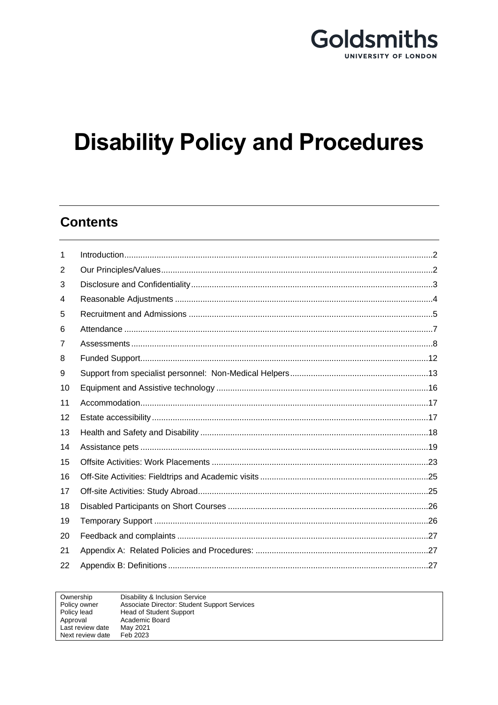

# **Disability Policy and Procedures**

# **Contents**

| 1  |  |
|----|--|
| 2  |  |
| 3  |  |
| 4  |  |
| 5  |  |
| 6  |  |
| 7  |  |
| 8  |  |
| 9  |  |
| 10 |  |
| 11 |  |
| 12 |  |
| 13 |  |
| 14 |  |
| 15 |  |
| 16 |  |
| 17 |  |
| 18 |  |
| 19 |  |
| 20 |  |
| 21 |  |
| 22 |  |

| Ownership        | Disability & Inclusion Service                      |
|------------------|-----------------------------------------------------|
| Policy owner     | <b>Associate Director: Student Support Services</b> |
| Policy lead      | <b>Head of Student Support</b>                      |
| Approval         | Academic Board                                      |
| Last review date | May 2021                                            |
| Next review date | Feb 2023                                            |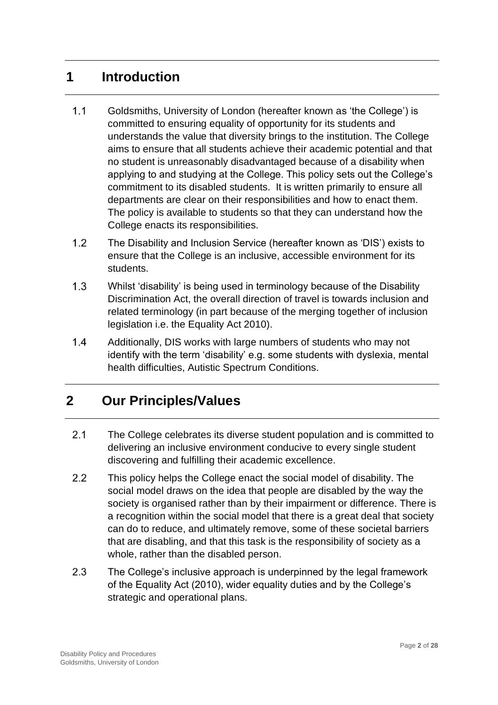## <span id="page-1-0"></span>**1 Introduction**

- $1.1$ Goldsmiths, University of London (hereafter known as 'the College') is committed to ensuring equality of opportunity for its students and understands the value that diversity brings to the institution. The College aims to ensure that all students achieve their academic potential and that no student is unreasonably disadvantaged because of a disability when applying to and studying at the College. This policy sets out the College's commitment to its disabled students. It is written primarily to ensure all departments are clear on their responsibilities and how to enact them. The policy is available to students so that they can understand how the College enacts its responsibilities.
- $1.2$ The Disability and Inclusion Service (hereafter known as 'DIS') exists to ensure that the College is an inclusive, accessible environment for its students.
- $1.3$ Whilst 'disability' is being used in terminology because of the Disability Discrimination Act, the overall direction of travel is towards inclusion and related terminology (in part because of the merging together of inclusion legislation i.e. the Equality Act 2010).
- $1.4$ Additionally, DIS works with large numbers of students who may not identify with the term 'disability' e.g. some students with dyslexia, mental health difficulties, Autistic Spectrum Conditions.

# <span id="page-1-1"></span>**2 Our Principles/Values**

- $2.1$ The College celebrates its diverse student population and is committed to delivering an inclusive environment conducive to every single student discovering and fulfilling their academic excellence.
- $2.2$ This policy helps the College enact the social model of disability. The social model draws on the idea that people are disabled by the way the society is organised rather than by their impairment or difference. There is a recognition within the social model that there is a great deal that society can do to reduce, and ultimately remove, some of these societal barriers that are disabling, and that this task is the responsibility of society as a whole, rather than the disabled person.
- $2.3$ The College's inclusive approach is underpinned by the legal framework of the Equality Act (2010), wider equality duties and by the College's strategic and operational plans.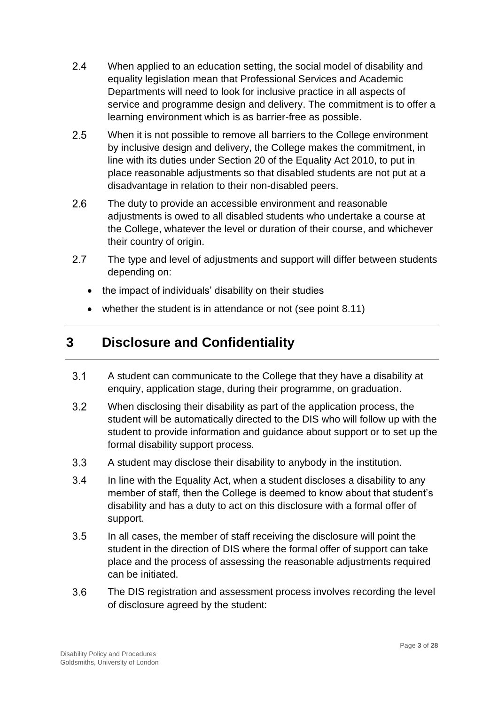- $2.4$ When applied to an education setting, the social model of disability and equality legislation mean that Professional Services and Academic Departments will need to look for inclusive practice in all aspects of service and programme design and delivery. The commitment is to offer a learning environment which is as barrier-free as possible.
- $2.5$ When it is not possible to remove all barriers to the College environment by inclusive design and delivery, the College makes the commitment, in line with its duties under Section 20 of the Equality Act 2010, to put in place reasonable adjustments so that disabled students are not put at a disadvantage in relation to their non-disabled peers.
- $2.6$ The duty to provide an accessible environment and reasonable adjustments is owed to all disabled students who undertake a course at the College, whatever the level or duration of their course, and whichever their country of origin.
- $2.7$ The type and level of adjustments and support will differ between students depending on:
	- the impact of individuals' disability on their studies
	- whether the student is in attendance or not (see point 8.11)

## <span id="page-2-0"></span>**3 Disclosure and Confidentiality**

- $3.1$ A student can communicate to the College that they have a disability at enquiry, application stage, during their programme, on graduation.
- $3.2$ When disclosing their disability as part of the application process, the student will be automatically directed to the DIS who will follow up with the student to provide information and guidance about support or to set up the formal disability support process.
- $3.3$ A student may disclose their disability to anybody in the institution.
- $3.4$ In line with the Equality Act, when a student discloses a disability to any member of staff, then the College is deemed to know about that student's disability and has a duty to act on this disclosure with a formal offer of support.
- $3.5$ In all cases, the member of staff receiving the disclosure will point the student in the direction of DIS where the formal offer of support can take place and the process of assessing the reasonable adjustments required can be initiated.
- $3.6$ The DIS registration and assessment process involves recording the level of disclosure agreed by the student: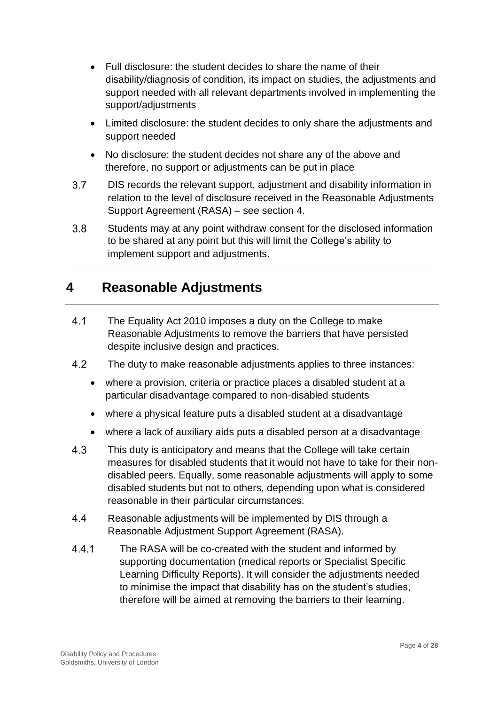- Full disclosure: the student decides to share the name of their disability/diagnosis of condition, its impact on studies, the adjustments and support needed with all relevant departments involved in implementing the support/adjustments
- Limited disclosure: the student decides to only share the adjustments and support needed
- No disclosure: the student decides not share any of the above and therefore, no support or adjustments can be put in place
- $3.7$ DIS records the relevant support, adjustment and disability information in relation to the level of disclosure received in the Reasonable Adjustments Support Agreement (RASA) – see section 4.
- $3.8$ Students may at any point withdraw consent for the disclosed information to be shared at any point but this will limit the College's ability to implement support and adjustments.

## <span id="page-3-0"></span>**4 Reasonable Adjustments**

- $4.1$ The Equality Act 2010 imposes a duty on the College to make Reasonable Adjustments to remove the barriers that have persisted despite inclusive design and practices.
- 4.2 The duty to make reasonable adjustments applies to three instances:
	- where a provision, criteria or practice places a disabled student at a particular disadvantage compared to non-disabled students
	- where a physical feature puts a disabled student at a disadvantage
	- where a lack of auxiliary aids puts a disabled person at a disadvantage
- 4.3 This duty is anticipatory and means that the College will take certain measures for disabled students that it would not have to take for their nondisabled peers. Equally, some reasonable adjustments will apply to some disabled students but not to others, depending upon what is considered reasonable in their particular circumstances.
- $4.4$ Reasonable adjustments will be implemented by DIS through a Reasonable Adjustment Support Agreement (RASA).
- $4.4.1$ The RASA will be co-created with the student and informed by supporting documentation (medical reports or Specialist Specific Learning Difficulty Reports). It will consider the adjustments needed to minimise the impact that disability has on the student's studies, therefore will be aimed at removing the barriers to their learning.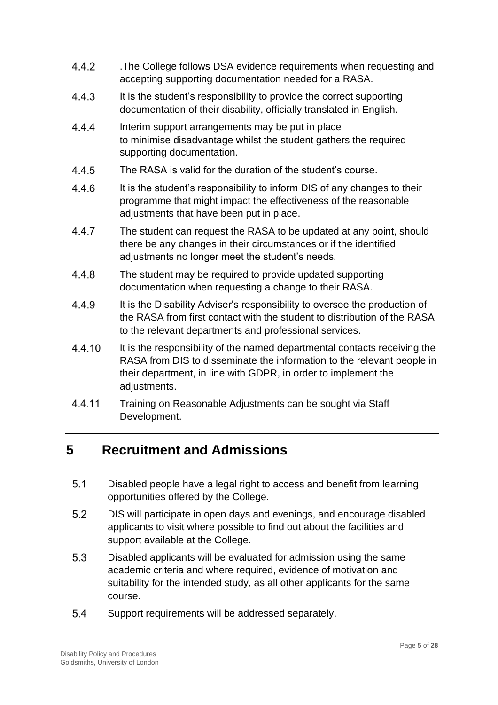- 4.4.2 .The College follows DSA evidence requirements when requesting and accepting supporting documentation needed for a RASA.
- 4.4.3 It is the student's responsibility to provide the correct supporting documentation of their disability, officially translated in English.
- 444 Interim support arrangements may be put in place to minimise disadvantage whilst the student gathers the required supporting documentation.
- 4.4.5 The RASA is valid for the duration of the student's course.
- 4.4.6 It is the student's responsibility to inform DIS of any changes to their programme that might impact the effectiveness of the reasonable adjustments that have been put in place.
- 4.4.7 The student can request the RASA to be updated at any point, should there be any changes in their circumstances or if the identified adjustments no longer meet the student's needs.
- 4.4.8 The student may be required to provide updated supporting documentation when requesting a change to their RASA.
- 4.4.9 It is the Disability Adviser's responsibility to oversee the production of the RASA from first contact with the student to distribution of the RASA to the relevant departments and professional services.
- 4.4.10 It is the responsibility of the named departmental contacts receiving the RASA from DIS to disseminate the information to the relevant people in their department, in line with GDPR, in order to implement the adjustments.
- 4.4.11 Training on Reasonable Adjustments can be sought via Staff Development.

## <span id="page-4-0"></span>**5 Recruitment and Admissions**

- $5.1$ Disabled people have a legal right to access and benefit from learning opportunities offered by the College.
- $5.2$ DIS will participate in open days and evenings, and encourage disabled applicants to visit where possible to find out about the facilities and support available at the College.
- 5.3 Disabled applicants will be evaluated for admission using the same academic criteria and where required, evidence of motivation and suitability for the intended study, as all other applicants for the same course.
- 5.4 Support requirements will be addressed separately.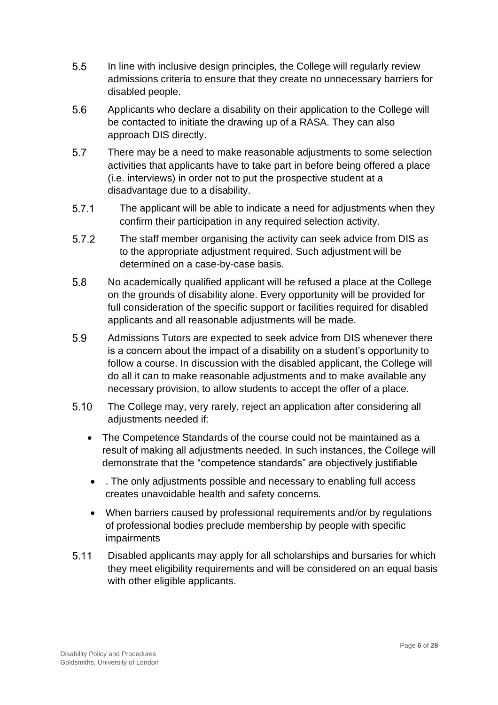- $5.5$ In line with inclusive design principles, the College will regularly review admissions criteria to ensure that they create no unnecessary barriers for disabled people.
- 5.6 Applicants who declare a disability on their application to the College will be contacted to initiate the drawing up of a RASA. They can also approach DIS directly.
- 5.7 There may be a need to make reasonable adjustments to some selection activities that applicants have to take part in before being offered a place (i.e. interviews) in order not to put the prospective student at a disadvantage due to a disability.
- $5.7.1$ The applicant will be able to indicate a need for adjustments when they confirm their participation in any required selection activity.
- $5.7.2$ The staff member organising the activity can seek advice from DIS as to the appropriate adjustment required. Such adjustment will be determined on a case-by-case basis.
- 5.8 No academically qualified applicant will be refused a place at the College on the grounds of disability alone. Every opportunity will be provided for full consideration of the specific support or facilities required for disabled applicants and all reasonable adjustments will be made.
- 5.9 Admissions Tutors are expected to seek advice from DIS whenever there is a concern about the impact of a disability on a student's opportunity to follow a course. In discussion with the disabled applicant, the College will do all it can to make reasonable adjustments and to make available any necessary provision, to allow students to accept the offer of a place.
- $5.10$ The College may, very rarely, reject an application after considering all adjustments needed if:
	- The Competence Standards of the course could not be maintained as a result of making all adjustments needed. In such instances, the College will demonstrate that the "competence standards" are objectively justifiable
	- . The only adjustments possible and necessary to enabling full access creates unavoidable health and safety concerns.
	- When barriers caused by professional requirements and/or by regulations of professional bodies preclude membership by people with specific impairments
- $5.11$ Disabled applicants may apply for all scholarships and bursaries for which they meet eligibility requirements and will be considered on an equal basis with other eligible applicants.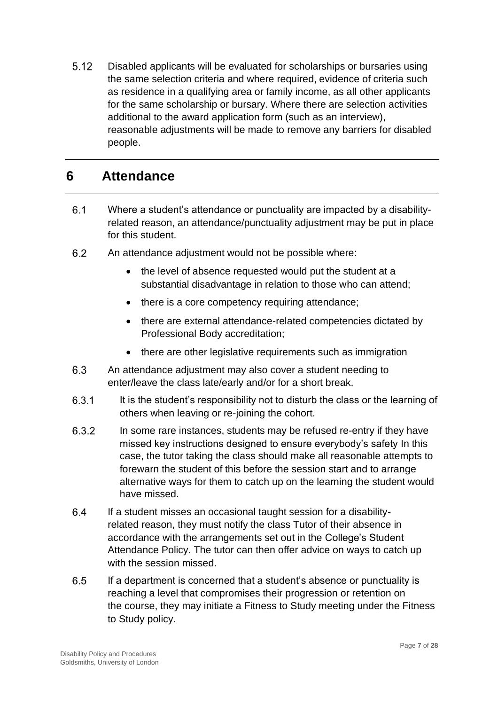$5.12$ Disabled applicants will be evaluated for scholarships or bursaries using the same selection criteria and where required, evidence of criteria such as residence in a qualifying area or family income, as all other applicants for the same scholarship or bursary. Where there are selection activities additional to the award application form (such as an interview), reasonable adjustments will be made to remove any barriers for disabled people.

#### <span id="page-6-0"></span>**6 Attendance**

- $6.1$ Where a student's attendance or punctuality are impacted by a disabilityrelated reason, an attendance/punctuality adjustment may be put in place for this student.
- 6.2 An attendance adjustment would not be possible where:
	- the level of absence requested would put the student at a substantial disadvantage in relation to those who can attend;
	- there is a core competency requiring attendance;
	- there are external attendance-related competencies dictated by Professional Body accreditation;
	- there are other legislative requirements such as immigration
- 6.3 An attendance adjustment may also cover a student needing to enter/leave the class late/early and/or for a short break.
- 6.3.1 It is the student's responsibility not to disturb the class or the learning of others when leaving or re-joining the cohort.
- In some rare instances, students may be refused re-entry if they have 6.3.2 missed key instructions designed to ensure everybody's safety In this case, the tutor taking the class should make all reasonable attempts to forewarn the student of this before the session start and to arrange alternative ways for them to catch up on the learning the student would have missed.
- 64 If a student misses an occasional taught session for a disabilityrelated reason, they must notify the class Tutor of their absence in accordance with the arrangements set out in the College's Student Attendance Policy. The tutor can then offer advice on ways to catch up with the session missed.
- 6.5 If a department is concerned that a student's absence or punctuality is reaching a level that compromises their progression or retention on the course, they may initiate a Fitness to Study meeting under the Fitness to Study policy.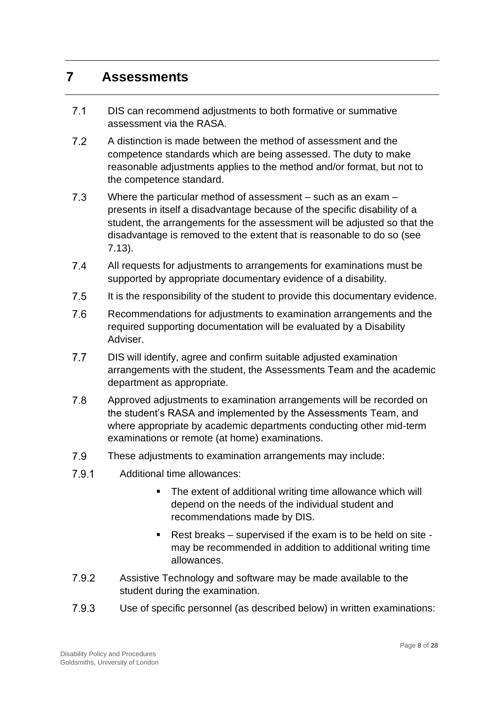#### <span id="page-7-0"></span>**7 Assessments**

- $7.1$ DIS can recommend adjustments to both formative or summative assessment via the RASA.
- $7.2$ A distinction is made between the method of assessment and the competence standards which are being assessed. The duty to make reasonable adjustments applies to the method and/or format, but not to the competence standard.
- $7.3$ Where the particular method of assessment – such as an exam – presents in itself a disadvantage because of the specific disability of a student, the arrangements for the assessment will be adjusted so that the disadvantage is removed to the extent that is reasonable to do so (see 7.13).
- $7.4$ All requests for adjustments to arrangements for examinations must be supported by appropriate documentary evidence of a disability.
- $7.5$ It is the responsibility of the student to provide this documentary evidence.
- 7.6 Recommendations for adjustments to examination arrangements and the required supporting documentation will be evaluated by a Disability Adviser.
- $7.7$ DIS will identify, agree and confirm suitable adjusted examination arrangements with the student, the Assessments Team and the academic department as appropriate.
- 7.8 Approved adjustments to examination arrangements will be recorded on the student's RASA and implemented by the Assessments Team, and where appropriate by academic departments conducting other mid-term examinations or remote (at home) examinations.
- 7.9 These adjustments to examination arrangements may include:
- $7.9.1$ Additional time allowances:
	- The extent of additional writing time allowance which will depend on the needs of the individual student and recommendations made by DIS.
	- Rest breaks supervised if the exam is to be held on site may be recommended in addition to additional writing time allowances.
- 792 Assistive Technology and software may be made available to the student during the examination.
- 7.9.3 Use of specific personnel (as described below) in written examinations: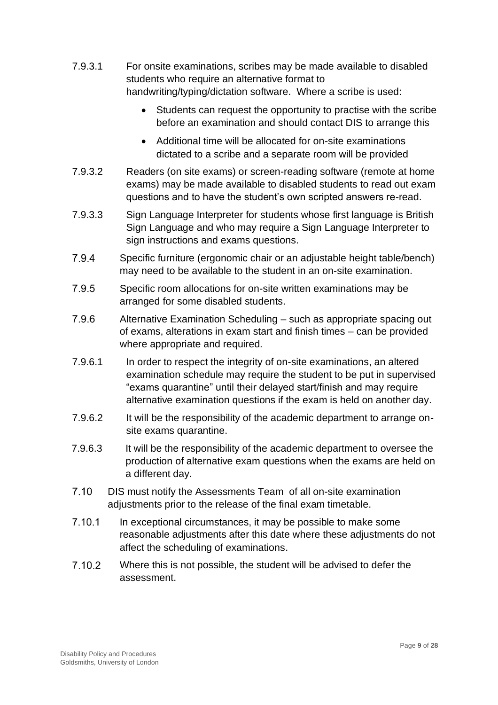- 7.9.3.1 For onsite examinations, scribes may be made available to disabled students who require an alternative format to handwriting/typing/dictation software. Where a scribe is used:
	- Students can request the opportunity to practise with the scribe before an examination and should contact DIS to arrange this
	- Additional time will be allocated for on-site examinations dictated to a scribe and a separate room will be provided
- 7.9.3.2 Readers (on site exams) or screen-reading software (remote at home exams) may be made available to disabled students to read out exam questions and to have the student's own scripted answers re-read.
- 7.9.3.3 Sign Language Interpreter for students whose first language is British Sign Language and who may require a Sign Language Interpreter to sign instructions and exams questions.
- 7.9.4 Specific furniture (ergonomic chair or an adjustable height table/bench) may need to be available to the student in an on-site examination.
- 7.9.5 Specific room allocations for on-site written examinations may be arranged for some disabled students.
- 7.9.6 Alternative Examination Scheduling – such as appropriate spacing out of exams, alterations in exam start and finish times – can be provided where appropriate and required*.*
- 7.9.6.1 In order to respect the integrity of on-site examinations, an altered examination schedule may require the student to be put in supervised "exams quarantine" until their delayed start/finish and may require alternative examination questions if the exam is held on another day.
- 7.9.6.2 It will be the responsibility of the academic department to arrange onsite exams quarantine.
- 7.9.6.3 It will be the responsibility of the academic department to oversee the production of alternative exam questions when the exams are held on a different day.
- $7.10$ DIS must notify the Assessments Team of all on-site examination adjustments prior to the release of the final exam timetable.
- $7.10.1$ In exceptional circumstances, it may be possible to make some reasonable adjustments after this date where these adjustments do not affect the scheduling of examinations.
- 7.10.2 Where this is not possible, the student will be advised to defer the assessment.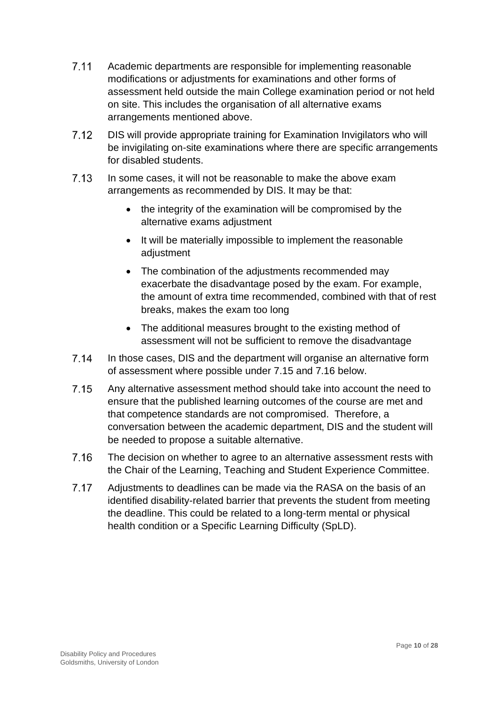- $7.11$ Academic departments are responsible for implementing reasonable modifications or adjustments for examinations and other forms of assessment held outside the main College examination period or not held on site. This includes the organisation of all alternative exams arrangements mentioned above.
- $7.12$ DIS will provide appropriate training for Examination Invigilators who will be invigilating on-site examinations where there are specific arrangements for disabled students.
- $7.13$ In some cases, it will not be reasonable to make the above exam arrangements as recommended by DIS. It may be that:
	- the integrity of the examination will be compromised by the alternative exams adjustment
	- It will be materially impossible to implement the reasonable adiustment
	- The combination of the adjustments recommended may exacerbate the disadvantage posed by the exam. For example, the amount of extra time recommended, combined with that of rest breaks, makes the exam too long
	- The additional measures brought to the existing method of assessment will not be sufficient to remove the disadvantage
- $7.14$ In those cases, DIS and the department will organise an alternative form of assessment where possible under 7.15 and 7.16 below.
- $7.15$ Any alternative assessment method should take into account the need to ensure that the published learning outcomes of the course are met and that competence standards are not compromised. Therefore, a conversation between the academic department, DIS and the student will be needed to propose a suitable alternative.
- 7.16 The decision on whether to agree to an alternative assessment rests with the Chair of the Learning, Teaching and Student Experience Committee.
- 7.17 Adjustments to deadlines can be made via the RASA on the basis of an identified disability-related barrier that prevents the student from meeting the deadline. This could be related to a long-term mental or physical health condition or a Specific Learning Difficulty (SpLD).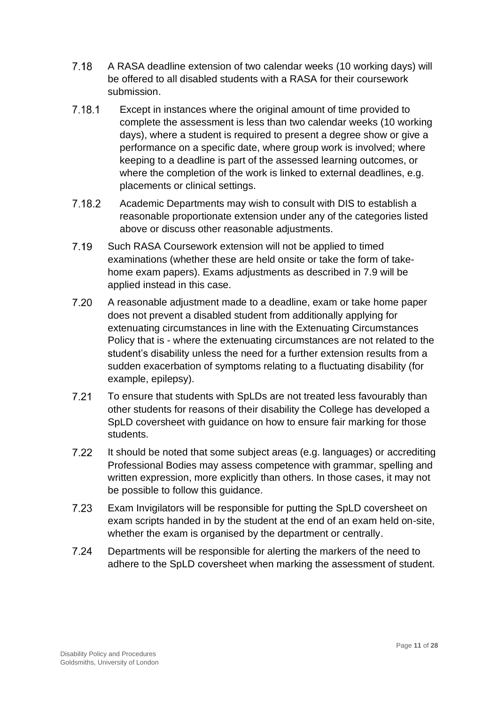- 7.18 A RASA deadline extension of two calendar weeks (10 working days) will be offered to all disabled students with a RASA for their coursework submission.
- 7.18.1 Except in instances where the original amount of time provided to complete the assessment is less than two calendar weeks (10 working days), where a student is required to present a degree show or give a performance on a specific date, where group work is involved; where keeping to a deadline is part of the assessed learning outcomes, or where the completion of the work is linked to external deadlines, e.g. placements or clinical settings.
- 7.18.2 Academic Departments may wish to consult with DIS to establish a reasonable proportionate extension under any of the categories listed above or discuss other reasonable adjustments.
- 7.19 Such RASA Coursework extension will not be applied to timed examinations (whether these are held onsite or take the form of takehome exam papers). Exams adjustments as described in 7.9 will be applied instead in this case.
- 7.20 A reasonable adjustment made to a deadline, exam or take home paper does not prevent a disabled student from additionally applying for extenuating circumstances in line with the Extenuating Circumstances Policy that is - where the extenuating circumstances are not related to the student's disability unless the need for a further extension results from a sudden exacerbation of symptoms relating to a fluctuating disability (for example, epilepsy).
- $7.21$ To ensure that students with SpLDs are not treated less favourably than other students for reasons of their disability the College has developed a SpLD coversheet with guidance on how to ensure fair marking for those students.
- It should be noted that some subject areas (e.g. languages) or accrediting  $7.22$ Professional Bodies may assess competence with grammar, spelling and written expression, more explicitly than others. In those cases, it may not be possible to follow this guidance.
- 7.23 Exam Invigilators will be responsible for putting the SpLD coversheet on exam scripts handed in by the student at the end of an exam held on-site, whether the exam is organised by the department or centrally.
- $7.24$ Departments will be responsible for alerting the markers of the need to adhere to the SpLD coversheet when marking the assessment of student.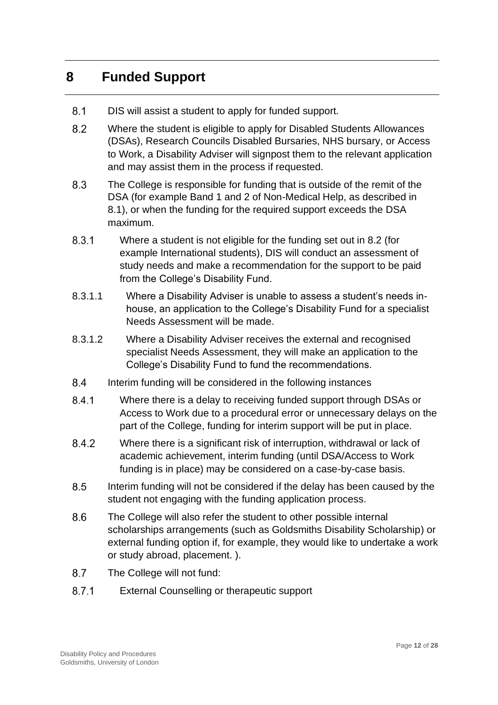## <span id="page-11-0"></span>**8 Funded Support**

- $8.1$ DIS will assist a student to apply for funded support.
- 8.2 Where the student is eligible to apply for Disabled Students Allowances (DSAs), Research Councils Disabled Bursaries, NHS bursary, or Access to Work, a Disability Adviser will signpost them to the relevant application and may assist them in the process if requested.
- 8.3 The College is responsible for funding that is outside of the remit of the DSA (for example Band 1 and 2 of Non-Medical Help, as described in 8.1), or when the funding for the required support exceeds the DSA maximum.
- 8.3.1 Where a student is not eligible for the funding set out in 8.2 (for example International students), DIS will conduct an assessment of study needs and make a recommendation for the support to be paid from the College's Disability Fund.
- 8.3.1.1 Where a Disability Adviser is unable to assess a student's needs inhouse, an application to the College's Disability Fund for a specialist Needs Assessment will be made.
- 8.3.1.2 Where a Disability Adviser receives the external and recognised specialist Needs Assessment, they will make an application to the College's Disability Fund to fund the recommendations.
- 84 Interim funding will be considered in the following instances
- 841 Where there is a delay to receiving funded support through DSAs or Access to Work due to a procedural error or unnecessary delays on the part of the College, funding for interim support will be put in place.
- 8.4.2 Where there is a significant risk of interruption, withdrawal or lack of academic achievement, interim funding (until DSA/Access to Work funding is in place) may be considered on a case-by-case basis.
- 8.5 Interim funding will not be considered if the delay has been caused by the student not engaging with the funding application process.
- 8.6 The College will also refer the student to other possible internal scholarships arrangements (such as Goldsmiths Disability Scholarship) or external funding option if, for example, they would like to undertake a work or study abroad, placement. ).
- 8.7 The College will not fund:
- $8.7.1$ External Counselling or therapeutic support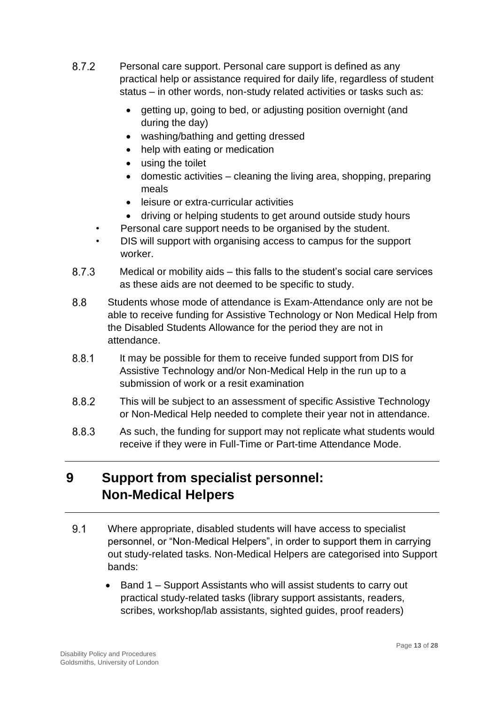- 8.7.2 Personal care support. Personal care support is defined as any practical help or assistance required for daily life, regardless of student status – in other words, non-study related activities or tasks such as:
	- getting up, going to bed, or adjusting position overnight (and during the day)
	- washing/bathing and getting dressed
	- help with eating or medication
	- using the toilet
	- domestic activities cleaning the living area, shopping, preparing meals
	- leisure or extra-curricular activities
	- driving or helping students to get around outside study hours
	- Personal care support needs to be organised by the student.
	- DIS will support with organising access to campus for the support worker.
- 8.7.3 Medical or mobility aids – this falls to the student's social care services as these aids are not deemed to be specific to study.
- 8.8 Students whose mode of attendance is Exam-Attendance only are not be able to receive funding for Assistive Technology or Non Medical Help from the Disabled Students Allowance for the period they are not in attendance.
- 8.8.1 It may be possible for them to receive funded support from DIS for Assistive Technology and/or Non-Medical Help in the run up to a submission of work or a resit examination
- 8.8.2 This will be subject to an assessment of specific Assistive Technology or Non-Medical Help needed to complete their year not in attendance.
- 8.8.3 As such, the funding for support may not replicate what students would receive if they were in Full-Time or Part-time Attendance Mode.

# <span id="page-12-0"></span>**9 Support from specialist personnel: Non-Medical Helpers**

- $9.1$ Where appropriate, disabled students will have access to specialist personnel, or "Non-Medical Helpers", in order to support them in carrying out study-related tasks. Non-Medical Helpers are categorised into Support bands:
	- Band 1 Support Assistants who will assist students to carry out practical study-related tasks (library support assistants, readers, scribes, workshop/lab assistants, sighted guides, proof readers)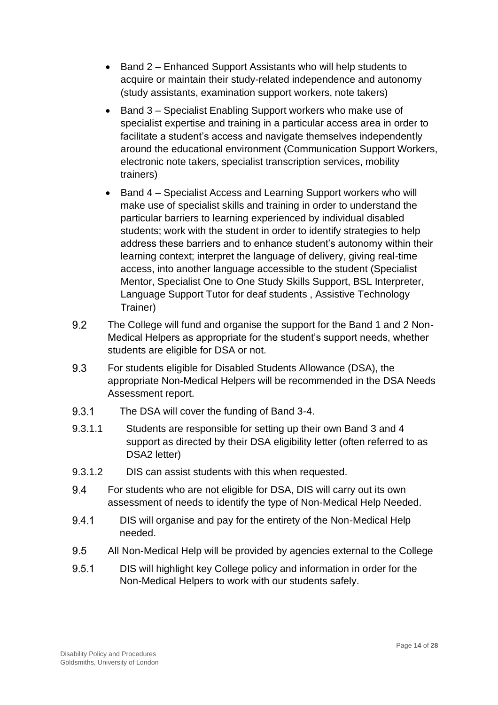- Band 2 Enhanced Support Assistants who will help students to acquire or maintain their study-related independence and autonomy (study assistants, examination support workers, note takers)
- Band 3 Specialist Enabling Support workers who make use of specialist expertise and training in a particular access area in order to facilitate a student's access and navigate themselves independently around the educational environment (Communication Support Workers, electronic note takers, specialist transcription services, mobility trainers)
- Band 4 Specialist Access and Learning Support workers who will make use of specialist skills and training in order to understand the particular barriers to learning experienced by individual disabled students; work with the student in order to identify strategies to help address these barriers and to enhance student's autonomy within their learning context; interpret the language of delivery, giving real-time access, into another language accessible to the student (Specialist Mentor, Specialist One to One Study Skills Support, BSL Interpreter, Language Support Tutor for deaf students , Assistive Technology Trainer)
- 9.2 The College will fund and organise the support for the Band 1 and 2 Non-Medical Helpers as appropriate for the student's support needs, whether students are eligible for DSA or not.
- 9.3 For students eligible for Disabled Students Allowance (DSA), the appropriate Non-Medical Helpers will be recommended in the DSA Needs Assessment report.
- 9.3.1 The DSA will cover the funding of Band 3-4.
- 9.3.1.1 Students are responsible for setting up their own Band 3 and 4 support as directed by their DSA eligibility letter (often referred to as DSA2 letter)
- 9.3.1.2 DIS can assist students with this when requested.
- 9.4 For students who are not eligible for DSA, DIS will carry out its own assessment of needs to identify the type of Non-Medical Help Needed.
- 9.4.1 DIS will organise and pay for the entirety of the Non-Medical Help needed.
- $9.5$ All Non-Medical Help will be provided by agencies external to the College
- 9.5.1 DIS will highlight key College policy and information in order for the Non-Medical Helpers to work with our students safely.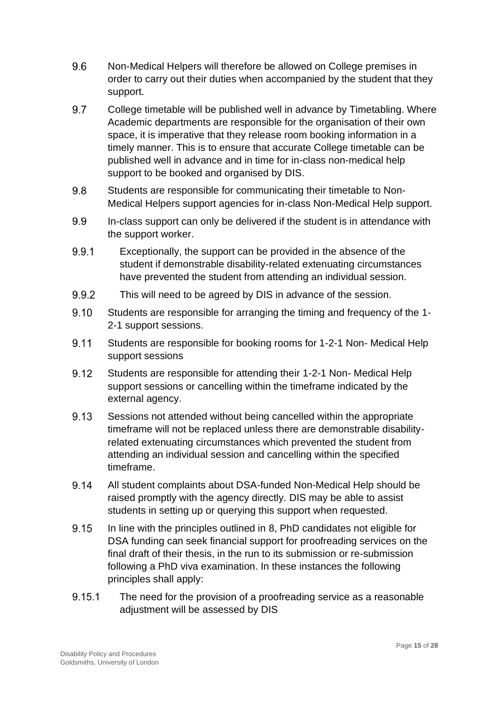- 9.6 Non-Medical Helpers will therefore be allowed on College premises in order to carry out their duties when accompanied by the student that they support.
- 9.7 College timetable will be published well in advance by Timetabling. Where Academic departments are responsible for the organisation of their own space, it is imperative that they release room booking information in a timely manner. This is to ensure that accurate College timetable can be published well in advance and in time for in-class non-medical help support to be booked and organised by DIS.
- 9.8 Students are responsible for communicating their timetable to Non-Medical Helpers support agencies for in-class Non-Medical Help support.
- 9.9 In-class support can only be delivered if the student is in attendance with the support worker.
- 9.9.1 Exceptionally, the support can be provided in the absence of the student if demonstrable disability-related extenuating circumstances have prevented the student from attending an individual session.
- 9.9.2 This will need to be agreed by DIS in advance of the session.
- 9.10 Students are responsible for arranging the timing and frequency of the 1- 2-1 support sessions.
- 9.11 Students are responsible for booking rooms for 1-2-1 Non- Medical Help support sessions
- 9.12 Students are responsible for attending their 1-2-1 Non- Medical Help support sessions or cancelling within the timeframe indicated by the external agency.
- 9.13 Sessions not attended without being cancelled within the appropriate timeframe will not be replaced unless there are demonstrable disabilityrelated extenuating circumstances which prevented the student from attending an individual session and cancelling within the specified timeframe.
- 9.14 All student complaints about DSA-funded Non-Medical Help should be raised promptly with the agency directly. DIS may be able to assist students in setting up or querying this support when requested.
- 9.15 In line with the principles outlined in 8, PhD candidates not eligible for DSA funding can seek financial support for proofreading services on the final draft of their thesis, in the run to its submission or re-submission following a PhD viva examination. In these instances the following principles shall apply:
- 9.15.1 The need for the provision of a proofreading service as a reasonable adjustment will be assessed by DIS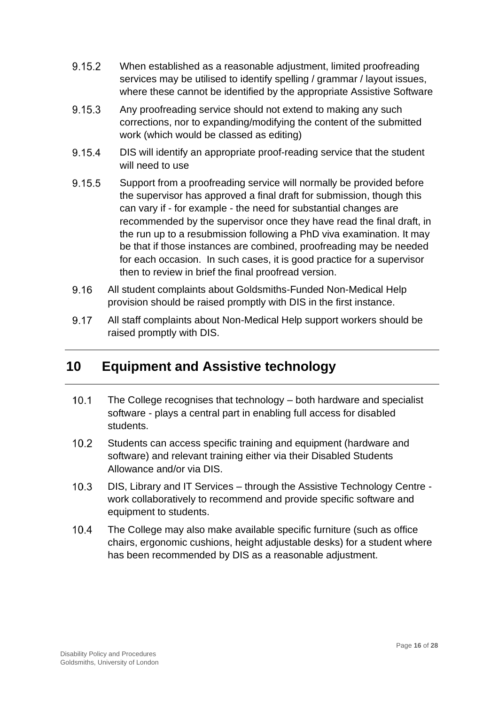- 9.15.2 When established as a reasonable adjustment, limited proofreading services may be utilised to identify spelling / grammar / layout issues, where these cannot be identified by the appropriate Assistive Software
- 9.15.3 Any proofreading service should not extend to making any such corrections, nor to expanding/modifying the content of the submitted work (which would be classed as editing)
- 9.15.4 DIS will identify an appropriate proof-reading service that the student will need to use
- 9.15.5 Support from a proofreading service will normally be provided before the supervisor has approved a final draft for submission, though this can vary if - for example - the need for substantial changes are recommended by the supervisor once they have read the final draft, in the run up to a resubmission following a PhD viva examination. It may be that if those instances are combined, proofreading may be needed for each occasion. In such cases, it is good practice for a supervisor then to review in brief the final proofread version.
- 9.16 All student complaints about Goldsmiths-Funded Non-Medical Help provision should be raised promptly with DIS in the first instance.
- 9.17 All staff complaints about Non-Medical Help support workers should be raised promptly with DIS.

## <span id="page-15-0"></span>**10 Equipment and Assistive technology**

- $10.1$ The College recognises that technology – both hardware and specialist software - plays a central part in enabling full access for disabled students.
- $10.2$ Students can access specific training and equipment (hardware and software) and relevant training either via their Disabled Students Allowance and/or via DIS.
- $10.3$ DIS, Library and IT Services – through the Assistive Technology Centre work collaboratively to recommend and provide specific software and equipment to students.
- $10.4$ The College may also make available specific furniture (such as office chairs, ergonomic cushions, height adjustable desks) for a student where has been recommended by DIS as a reasonable adjustment.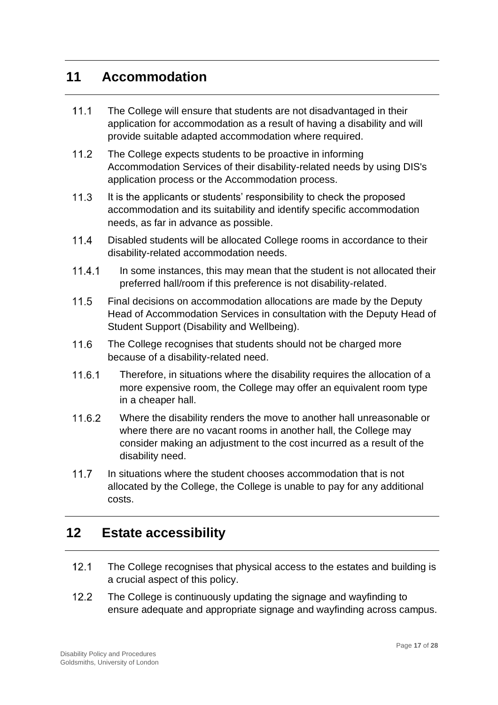#### <span id="page-16-0"></span>**11 Accommodation**

- $11.1$ The College will ensure that students are not disadvantaged in their application for accommodation as a result of having a disability and will provide suitable adapted accommodation where required.
- $11.2$ The College expects students to be proactive in informing Accommodation Services of their disability-related needs by using DIS's application process or the Accommodation process.
- $11.3$ It is the applicants or students' responsibility to check the proposed accommodation and its suitability and identify specific accommodation needs, as far in advance as possible.
- $11.4$ Disabled students will be allocated College rooms in accordance to their disability-related accommodation needs.
- $11.4.1$ In some instances, this may mean that the student is not allocated their preferred hall/room if this preference is not disability-related.
- $11.5$ Final decisions on accommodation allocations are made by the Deputy Head of Accommodation Services in consultation with the Deputy Head of Student Support (Disability and Wellbeing).
- $11.6$ The College recognises that students should not be charged more because of a disability-related need.
- 11.6.1 Therefore, in situations where the disability requires the allocation of a more expensive room, the College may offer an equivalent room type in a cheaper hall.
- 11.6.2 Where the disability renders the move to another hall unreasonable or where there are no vacant rooms in another hall, the College may consider making an adjustment to the cost incurred as a result of the disability need.
- $11.7$ In situations where the student chooses accommodation that is not allocated by the College, the College is unable to pay for any additional costs.

## <span id="page-16-1"></span>**12 Estate accessibility**

- $12.1$ The College recognises that physical access to the estates and building is a crucial aspect of this policy.
- $12.2$ The College is continuously updating the signage and wayfinding to ensure adequate and appropriate signage and wayfinding across campus.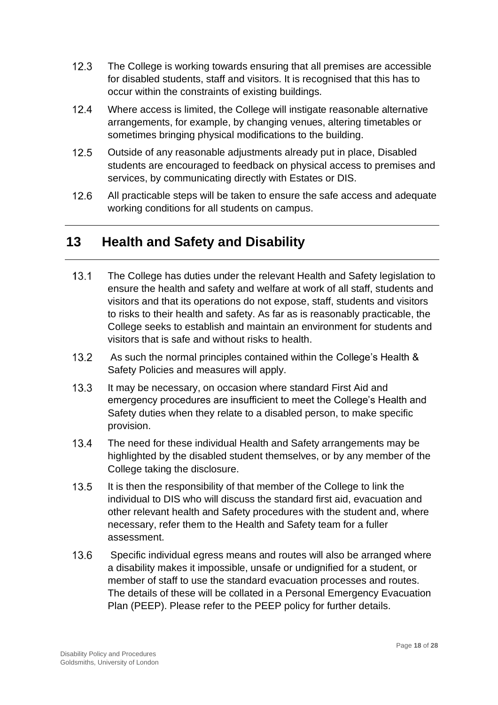- $12.3$ The College is working towards ensuring that all premises are accessible for disabled students, staff and visitors. It is recognised that this has to occur within the constraints of existing buildings.
- $12.4$ Where access is limited, the College will instigate reasonable alternative arrangements, for example, by changing venues, altering timetables or sometimes bringing physical modifications to the building.
- $12.5$ Outside of any reasonable adjustments already put in place, Disabled students are encouraged to feedback on physical access to premises and services, by communicating directly with Estates or DIS.
- $12.6$ All practicable steps will be taken to ensure the safe access and adequate working conditions for all students on campus.

## <span id="page-17-0"></span>**13 Health and Safety and Disability**

- $13.1$ The College has duties under the relevant Health and Safety legislation to ensure the health and safety and welfare at work of all staff, students and visitors and that its operations do not expose, staff, students and visitors to risks to their health and safety. As far as is reasonably practicable, the College seeks to establish and maintain an environment for students and visitors that is safe and without risks to health.
- $13.2$ As such the normal principles contained within the College's Health & Safety Policies and measures will apply.
- $13.3$ It may be necessary, on occasion where standard First Aid and emergency procedures are insufficient to meet the College's Health and Safety duties when they relate to a disabled person, to make specific provision.
- $13.4$ The need for these individual Health and Safety arrangements may be highlighted by the disabled student themselves, or by any member of the College taking the disclosure.
- $13.5$ It is then the responsibility of that member of the College to link the individual to DIS who will discuss the standard first aid, evacuation and other relevant health and Safety procedures with the student and, where necessary, refer them to the Health and Safety team for a fuller assessment.
- $13.6$ Specific individual egress means and routes will also be arranged where a disability makes it impossible, unsafe or undignified for a student, or member of staff to use the standard evacuation processes and routes. The details of these will be collated in a Personal Emergency Evacuation Plan (PEEP). Please refer to the PEEP policy for further details.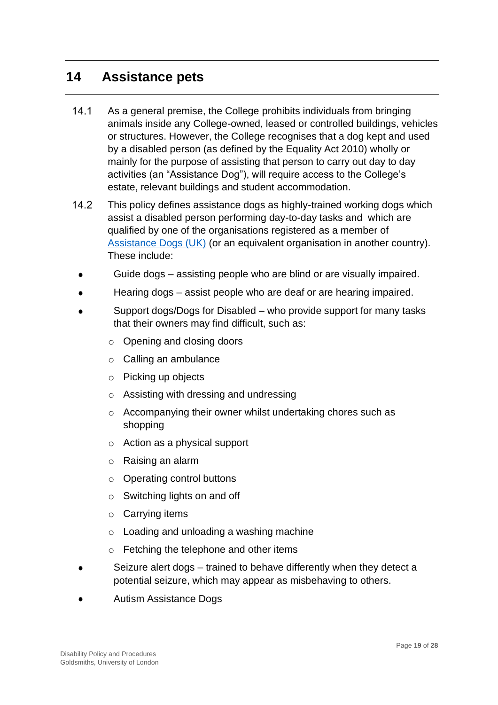#### <span id="page-18-0"></span>**14 Assistance pets**

- $14.1$ As a general premise, the College prohibits individuals from bringing animals inside any College-owned, leased or controlled buildings, vehicles or structures. However, the College recognises that a dog kept and used by a disabled person (as defined by the Equality Act 2010) wholly or mainly for the purpose of assisting that person to carry out day to day activities (an "Assistance Dog"), will require access to the College's estate, relevant buildings and student accommodation.
- $14.2$ This policy defines assistance dogs as highly-trained working dogs which assist a disabled person performing day-to-day tasks and which are qualified by one of the organisations registered as a member of [Assistance Dogs \(UK\)](http://assistancedogs.org.uk./) (or an equivalent organisation in another country). These include:
- Guide dogs assisting people who are blind or are visually impaired.
- Hearing dogs assist people who are deaf or are hearing impaired.
- Support dogs/Dogs for Disabled who provide support for many tasks that their owners may find difficult, such as:
	- o Opening and closing doors
	- o Calling an ambulance
	- o Picking up objects
	- o Assisting with dressing and undressing
	- o Accompanying their owner whilst undertaking chores such as shopping
	- o Action as a physical support
	- o Raising an alarm
	- o Operating control buttons
	- o Switching lights on and off
	- o Carrying items
	- o Loading and unloading a washing machine
	- o Fetching the telephone and other items
- Seizure alert dogs trained to behave differently when they detect a potential seizure, which may appear as misbehaving to others.
- Autism Assistance Dogs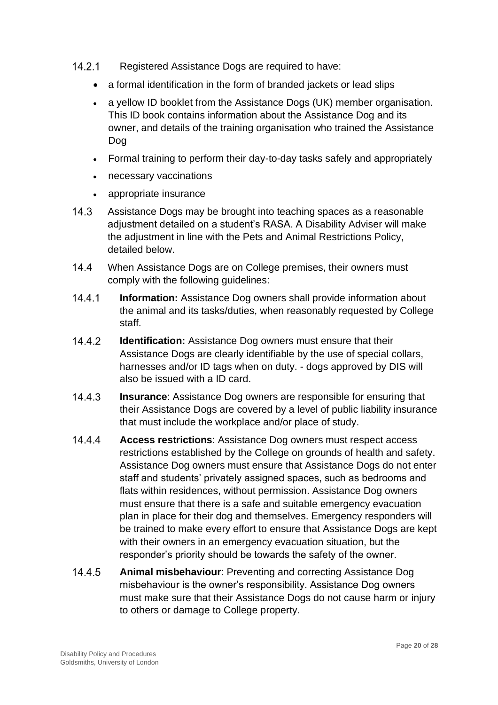- $14.2.1$ Registered Assistance Dogs are required to have:
	- a formal identification in the form of branded jackets or lead slips
	- a yellow ID booklet from the Assistance Dogs (UK) member organisation. This ID book contains information about the Assistance Dog and its owner, and details of the training organisation who trained the Assistance Dog
	- Formal training to perform their day-to-day tasks safely and appropriately
	- necessary vaccinations
	- appropriate insurance
- $14.3$ Assistance Dogs may be brought into teaching spaces as a reasonable adjustment detailed on a student's RASA. A Disability Adviser will make the adjustment in line with the Pets and Animal Restrictions Policy, detailed below.
- $14.4$ When Assistance Dogs are on College premises, their owners must comply with the following guidelines:
- $14.4.1$ **Information:** Assistance Dog owners shall provide information about the animal and its tasks/duties, when reasonably requested by College staff.
- 14.4.2 **Identification:** Assistance Dog owners must ensure that their Assistance Dogs are clearly identifiable by the use of special collars, harnesses and/or ID tags when on duty. - dogs approved by DIS will also be issued with a ID card.
- 14.4.3 **Insurance**: Assistance Dog owners are responsible for ensuring that their Assistance Dogs are covered by a level of public liability insurance that must include the workplace and/or place of study.
- $14.4.4$ **Access restrictions**: Assistance Dog owners must respect access restrictions established by the College on grounds of health and safety. Assistance Dog owners must ensure that Assistance Dogs do not enter staff and students' privately assigned spaces, such as bedrooms and flats within residences, without permission. Assistance Dog owners must ensure that there is a safe and suitable emergency evacuation plan in place for their dog and themselves. Emergency responders will be trained to make every effort to ensure that Assistance Dogs are kept with their owners in an emergency evacuation situation, but the responder's priority should be towards the safety of the owner.
- 14.4.5 **Animal misbehaviour**: Preventing and correcting Assistance Dog misbehaviour is the owner's responsibility. Assistance Dog owners must make sure that their Assistance Dogs do not cause harm or injury to others or damage to College property.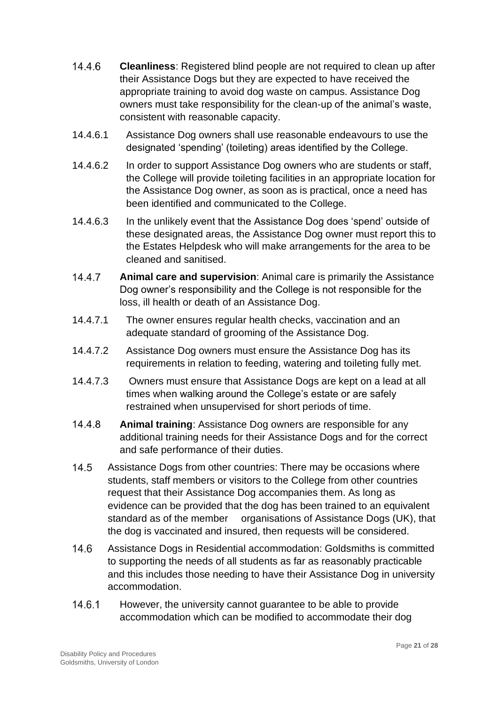- 14.4.6 **Cleanliness**: Registered blind people are not required to clean up after their Assistance Dogs but they are expected to have received the appropriate training to avoid dog waste on campus. Assistance Dog owners must take responsibility for the clean-up of the animal's waste, consistent with reasonable capacity.
- 14.4.6.1 Assistance Dog owners shall use reasonable endeavours to use the designated 'spending' (toileting) areas identified by the College.
- 14.4.6.2 In order to support Assistance Dog owners who are students or staff, the College will provide toileting facilities in an appropriate location for the Assistance Dog owner, as soon as is practical, once a need has been identified and communicated to the College.
- 14.4.6.3 In the unlikely event that the Assistance Dog does 'spend' outside of these designated areas, the Assistance Dog owner must report this to the [Estates Helpdesk](mailto:estates@gold.ac.uk) who will make arrangements for the area to be cleaned and sanitised.
- 14.4.7 **Animal care and supervision**: Animal care is primarily the Assistance Dog owner's responsibility and the College is not responsible for the loss, ill health or death of an Assistance Dog.
- 14.4.7.1 The owner ensures regular health checks, vaccination and an adequate standard of grooming of the Assistance Dog.
- 14.4.7.2 Assistance Dog owners must ensure the Assistance Dog has its requirements in relation to feeding, watering and toileting fully met.
- 14.4.7.3 Owners must ensure that Assistance Dogs are kept on a lead at all times when walking around the College's estate or are safely restrained when unsupervised for short periods of time.
- 14.4.8 **Animal training**: Assistance Dog owners are responsible for any additional training needs for their Assistance Dogs and for the correct and safe performance of their duties.
- $14.5$ Assistance Dogs from other countries: There may be occasions where students, staff members or visitors to the College from other countries request that their Assistance Dog accompanies them. As long as evidence can be provided that the dog has been trained to an equivalent standard as of the member organisations of Assistance Dogs (UK), that the dog is vaccinated and insured, then requests will be considered.
- $14.6$ Assistance Dogs in Residential accommodation: Goldsmiths is committed to supporting the needs of all students as far as reasonably practicable and this includes those needing to have their Assistance Dog in university accommodation.
- $14.6.1$ However, the university cannot guarantee to be able to provide accommodation which can be modified to accommodate their dog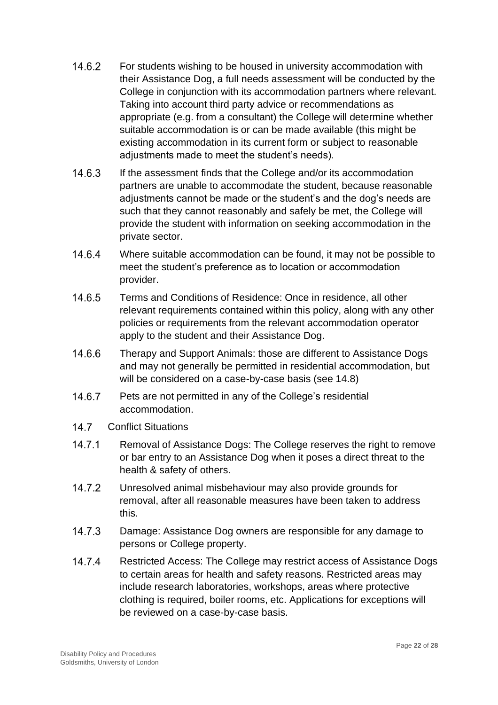- 14.6.2 For students wishing to be housed in university accommodation with their Assistance Dog, a full needs assessment will be conducted by the College in conjunction with its accommodation partners where relevant. Taking into account third party advice or recommendations as appropriate (e.g. from a consultant) the College will determine whether suitable accommodation is or can be made available (this might be existing accommodation in its current form or subject to reasonable adjustments made to meet the student's needs).
- $1463$ If the assessment finds that the College and/or its accommodation partners are unable to accommodate the student, because reasonable adjustments cannot be made or the student's and the dog's needs are such that they cannot reasonably and safely be met, the College will provide the student with information on seeking accommodation in the private sector.
- 14.6.4 Where suitable accommodation can be found, it may not be possible to meet the student's preference as to location or accommodation provider.
- 14.6.5 Terms and Conditions of Residence: Once in residence, all other relevant requirements contained within this policy, along with any other policies or requirements from the relevant accommodation operator apply to the student and their Assistance Dog.
- 14.6.6 Therapy and Support Animals: those are different to Assistance Dogs and may not generally be permitted in residential accommodation, but will be considered on a case-by-case basis (see 14.8)
- 14.6.7 Pets are not permitted in any of the College's residential accommodation.
- $14.7$ Conflict Situations
- $14.7.1$ Removal of Assistance Dogs: The College reserves the right to remove or bar entry to an Assistance Dog when it poses a direct threat to the health & safety of others.
- 14.7.2 Unresolved animal misbehaviour may also provide grounds for removal, after all reasonable measures have been taken to address this.
- $14.7.3$ Damage: Assistance Dog owners are responsible for any damage to persons or College property.
- 14.7.4 Restricted Access: The College may restrict access of Assistance Dogs to certain areas for health and safety reasons. Restricted areas may include research laboratories, workshops, areas where protective clothing is required, boiler rooms, etc. Applications for exceptions will be reviewed on a case-by-case basis.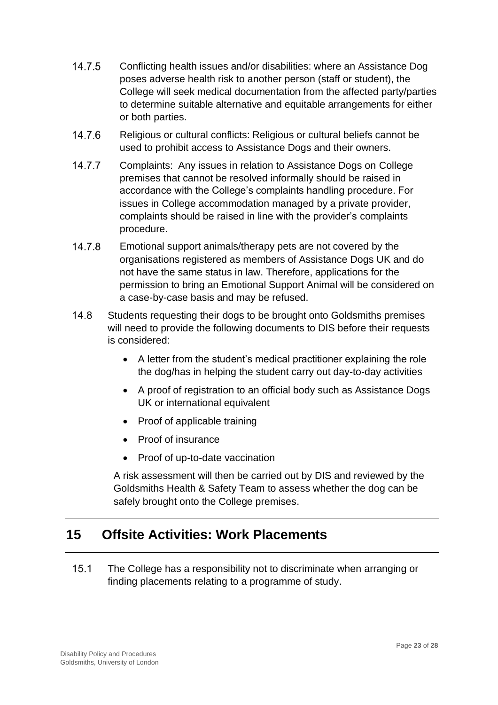- 14.7.5 Conflicting health issues and/or disabilities: where an Assistance Dog poses adverse health risk to another person (staff or student), the College will seek medical documentation from the affected party/parties to determine suitable alternative and equitable arrangements for either or both parties.
- 14.7.6 Religious or cultural conflicts: Religious or cultural beliefs cannot be used to prohibit access to Assistance Dogs and their owners.
- 14.7.7 Complaints: Any issues in relation to Assistance Dogs on College premises that cannot be resolved informally should be raised in accordance with the College's complaints handling procedure. For issues in College accommodation managed by a private provider, complaints should be raised in line with the provider's complaints procedure.
- 14.7.8 Emotional support animals/therapy pets are not covered by the organisations registered as members of Assistance Dogs UK and do not have the same status in law. Therefore, applications for the permission to bring an Emotional Support Animal will be considered on a case-by-case basis and may be refused.
- $14.8$ Students requesting their dogs to be brought onto Goldsmiths premises will need to provide the following documents to DIS before their requests is considered:
	- A letter from the student's medical practitioner explaining the role the dog/has in helping the student carry out day-to-day activities
	- A proof of registration to an official body such as Assistance Dogs UK or international equivalent
	- Proof of applicable training
	- Proof of insurance
	- Proof of up-to-date vaccination

A risk assessment will then be carried out by DIS and reviewed by the Goldsmiths Health & Safety Team to assess whether the dog can be safely brought onto the College premises.

## <span id="page-22-0"></span>**15 Offsite Activities: Work Placements**

 $15.1$ The College has a responsibility not to discriminate when arranging or finding placements relating to a programme of study.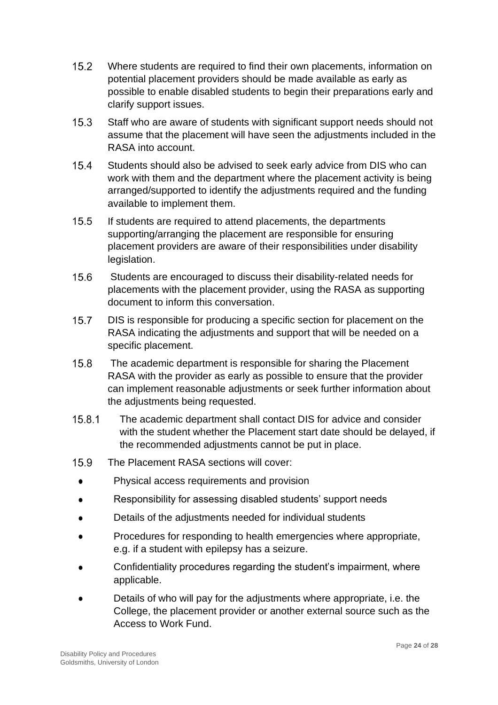- $15.2$ Where students are required to find their own placements, information on potential placement providers should be made available as early as possible to enable disabled students to begin their preparations early and clarify support issues.
- $15.3$ Staff who are aware of students with significant support needs should not assume that the placement will have seen the adjustments included in the RASA into account.
- $15.4$ Students should also be advised to seek early advice from DIS who can work with them and the department where the placement activity is being arranged/supported to identify the adjustments required and the funding available to implement them.
- $15.5$ If students are required to attend placements, the departments supporting/arranging the placement are responsible for ensuring placement providers are aware of their responsibilities under disability legislation.
- $15.6$ Students are encouraged to discuss their disability-related needs for placements with the placement provider, using the RASA as supporting document to inform this conversation.
- $15.7$ DIS is responsible for producing a specific section for placement on the RASA indicating the adjustments and support that will be needed on a specific placement.
- $15.8$ The academic department is responsible for sharing the Placement RASA with the provider as early as possible to ensure that the provider can implement reasonable adjustments or seek further information about the adjustments being requested.
- 15.8.1 The academic department shall contact DIS for advice and consider with the student whether the Placement start date should be delayed, if the recommended adjustments cannot be put in place.
- 15.9 The Placement RASA sections will cover:
- Physical access requirements and provision  $\bullet$
- Responsibility for assessing disabled students' support needs  $\bullet$
- Details of the adjustments needed for individual students  $\bullet$
- Procedures for responding to health emergencies where appropriate, e.g. if a student with epilepsy has a seizure.
- Confidentiality procedures regarding the student's impairment, where applicable.
- Details of who will pay for the adjustments where appropriate, i.e. the College, the placement provider or another external source such as the Access to Work Fund.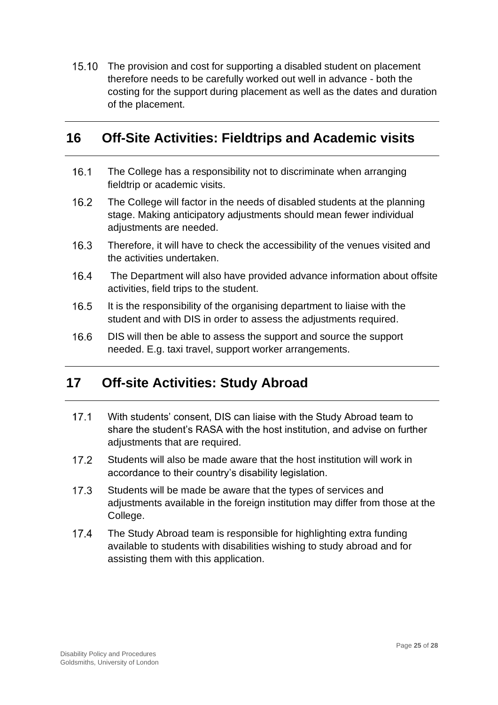15.10 The provision and cost for supporting a disabled student on placement therefore needs to be carefully worked out well in advance - both the costing for the support during placement as well as the dates and duration of the placement.

## <span id="page-24-0"></span>**16 Off-Site Activities: Fieldtrips and Academic visits**

- $16.1$ The College has a responsibility not to discriminate when arranging fieldtrip or academic visits.
- $16.2$ The College will factor in the needs of disabled students at the planning stage. Making anticipatory adjustments should mean fewer individual adjustments are needed.
- $16.3$ Therefore, it will have to check the accessibility of the venues visited and the activities undertaken.
- $16.4$ The Department will also have provided advance information about offsite activities, field trips to the student.
- $16.5$ It is the responsibility of the organising department to liaise with the student and with DIS in order to assess the adjustments required.
- $16.6$ DIS will then be able to assess the support and source the support needed. E.g. taxi travel, support worker arrangements.

## <span id="page-24-1"></span>**17 Off-site Activities: Study Abroad**

- $17.1$ With students' consent, DIS can liaise with the Study Abroad team to share the student's RASA with the host institution, and advise on further adjustments that are required.
- $17.2$ Students will also be made aware that the host institution will work in accordance to their country's disability legislation.
- $17.3$ Students will be made be aware that the types of services and adjustments available in the foreign institution may differ from those at the College.
- $17.4$ The Study Abroad team is responsible for highlighting extra funding available to students with disabilities wishing to study abroad and for assisting them with this application.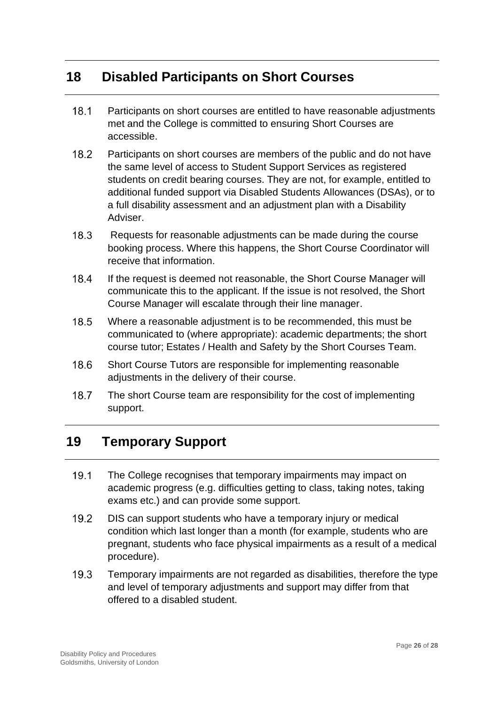## <span id="page-25-0"></span>**18 Disabled Participants on Short Courses**

- $18.1$ Participants on short courses are entitled to have reasonable adjustments met and the College is committed to ensuring Short Courses are accessible.
- $18.2$ Participants on short courses are members of the public and do not have the same level of access to Student Support Services as registered students on credit bearing courses. They are not, for example, entitled to additional funded support via Disabled Students Allowances (DSAs), or to a full disability assessment and an adjustment plan with a Disability Adviser.
- 18.3 Requests for reasonable adjustments can be made during the course booking process. Where this happens, the Short Course Coordinator will receive that information.
- $18.4$ If the request is deemed not reasonable, the Short Course Manager will communicate this to the applicant. If the issue is not resolved, the Short Course Manager will escalate through their line manager.
- 18.5 Where a reasonable adjustment is to be recommended, this must be communicated to (where appropriate): academic departments; the short course tutor; Estates / Health and Safety by the Short Courses Team.
- 18.6 Short Course Tutors are responsible for implementing reasonable adjustments in the delivery of their course.
- 18.7 The short Course team are responsibility for the cost of implementing support.

## <span id="page-25-1"></span>**19 Temporary Support**

- $19.1$ The College recognises that temporary impairments may impact on academic progress (e.g. difficulties getting to class, taking notes, taking exams etc.) and can provide some support.
- $19.2$ DIS can support students who have a temporary injury or medical condition which last longer than a month (for example, students who are pregnant, students who face physical impairments as a result of a medical procedure).
- $19.3$ Temporary impairments are not regarded as disabilities, therefore the type and level of temporary adjustments and support may differ from that offered to a disabled student.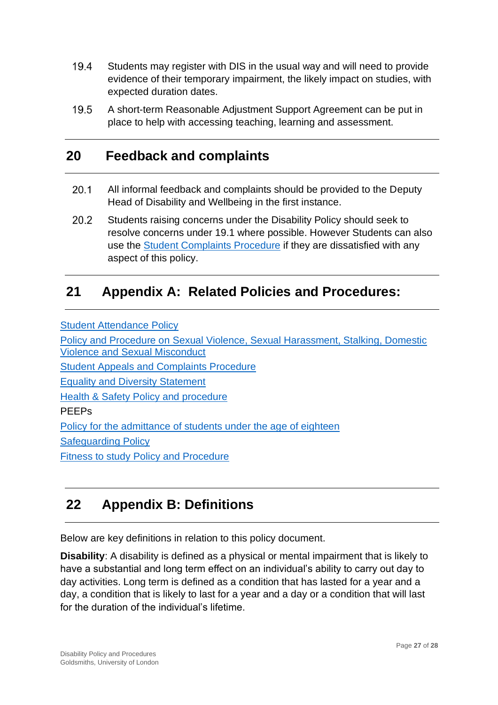- $19.4$ Students may register with DIS in the usual way and will need to provide evidence of their temporary impairment, the likely impact on studies, with expected duration dates.
- $19.5$ A short-term Reasonable Adjustment Support Agreement can be put in place to help with accessing teaching, learning and assessment.

## <span id="page-26-0"></span>**20 Feedback and complaints**

- $20.1$ All informal feedback and complaints should be provided to the Deputy Head of Disability and Wellbeing in the first instance.
- 20.2 Students raising concerns under the Disability Policy should seek to resolve concerns under 19.1 where possible. However Students can also use the [Student Complaints Procedure](https://www.gold.ac.uk/students/appealsandcomplaints/studentcomplaints/) if they are dissatisfied with any aspect of this policy.

## <span id="page-26-1"></span>**21 Appendix A: Related Policies and Procedures:**

[Student Attendance](https://www.gold.ac.uk/media/docs/gam/Student-Attendance-Policy.pdf) Policy

[Policy and Procedure on Sexual Violence, Sexual Harassment, Stalking, Domestic](https://www.gold.ac.uk/media/documents-by-section/about-us/governance/policies/Goldsmiths-policy-on-sexual-violence-harassment-misconduct.pdf)  [Violence and Sexual Misconduct](https://www.gold.ac.uk/media/documents-by-section/about-us/governance/policies/Goldsmiths-policy-on-sexual-violence-harassment-misconduct.pdf) [Student Appeals and Complaints](https://www.gold.ac.uk/students/appealsandcomplaints/) Procedure [Equality and Diversity](https://www.gold.ac.uk/equality-diversity/) Statement [Health & Safety Policy and procedure](https://www.gold.ac.uk/media/docs/estates/Health-and-Safety-Policy.pdf) PEEPs [Policy for the admittance of students under the age of eighteen](https://www.gold.ac.uk/media/docs/gam/Admittance-of-Students-Under-the-Age-of-18-Policy.pdf) [Safeguarding Policy](https://www.gold.ac.uk/media/docs/public-information/Safeguarding-Policy.pdf) [Fitness to study Policy and Procedure](https://www.gold.ac.uk/media/docs/gam/Fitness-to-Study-Policy-and-Procedures.pdf)

## <span id="page-26-2"></span>**22 Appendix B: Definitions**

Below are key definitions in relation to this policy document.

**Disability**: A disability is defined as a physical or mental impairment that is likely to have a substantial and long term effect on an individual's ability to carry out day to day activities. Long term is defined as a condition that has lasted for a year and a day, a condition that is likely to last for a year and a day or a condition that will last for the duration of the individual's lifetime.